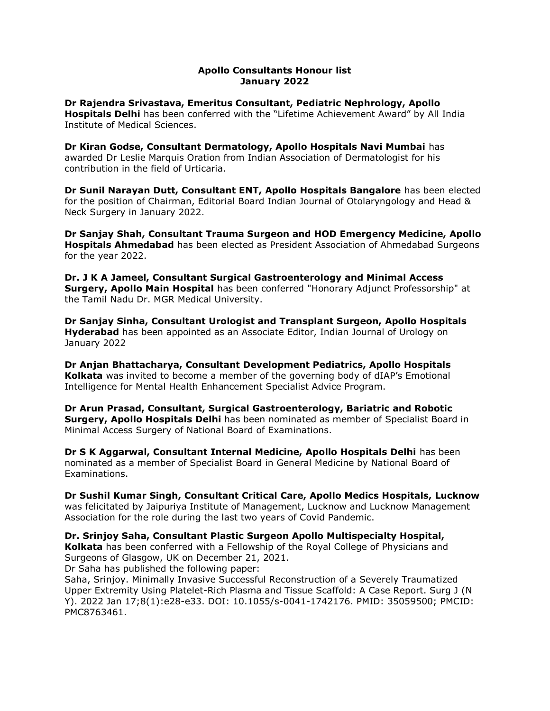# Apollo Consultants Honour list January 2022

Dr Rajendra Srivastava, Emeritus Consultant, Pediatric Nephrology, Apollo Hospitals Delhi has been conferred with the "Lifetime Achievement Award" by All India Institute of Medical Sciences.

Dr Kiran Godse, Consultant Dermatology, Apollo Hospitals Navi Mumbai has awarded Dr Leslie Marquis Oration from Indian Association of Dermatologist for his contribution in the field of Urticaria.

Dr Sunil Narayan Dutt, Consultant ENT, Apollo Hospitals Bangalore has been elected for the position of Chairman, Editorial Board Indian Journal of Otolaryngology and Head & Neck Surgery in January 2022.

Dr Sanjay Shah, Consultant Trauma Surgeon and HOD Emergency Medicine, Apollo **Hospitals Ahmedabad** has been elected as President Association of Ahmedabad Surgeons for the year 2022.

Dr. J K A Jameel, Consultant Surgical Gastroenterology and Minimal Access Surgery, Apollo Main Hospital has been conferred "Honorary Adjunct Professorship" at the Tamil Nadu Dr. MGR Medical University.

Dr Sanjay Sinha, Consultant Urologist and Transplant Surgeon, Apollo Hospitals **Hyderabad** has been appointed as an Associate Editor, Indian Journal of Urology on January 2022

Dr Anjan Bhattacharya, Consultant Development Pediatrics, Apollo Hospitals Kolkata was invited to become a member of the governing body of dIAP's Emotional Intelligence for Mental Health Enhancement Specialist Advice Program.

Dr Arun Prasad, Consultant, Surgical Gastroenterology, Bariatric and Robotic **Surgery, Apollo Hospitals Delhi** has been nominated as member of Specialist Board in Minimal Access Surgery of National Board of Examinations.

Dr S K Aggarwal, Consultant Internal Medicine, Apollo Hospitals Delhi has been nominated as a member of Specialist Board in General Medicine by National Board of Examinations.

Dr Sushil Kumar Singh, Consultant Critical Care, Apollo Medics Hospitals, Lucknow was felicitated by Jaipuriya Institute of Management, Lucknow and Lucknow Management Association for the role during the last two years of Covid Pandemic.

Dr. Srinjoy Saha, Consultant Plastic Surgeon Apollo Multispecialty Hospital, Kolkata has been conferred with a Fellowship of the Royal College of Physicians and Surgeons of Glasgow, UK on December 21, 2021.

Dr Saha has published the following paper:

Saha, Srinjoy. Minimally Invasive Successful Reconstruction of a Severely Traumatized Upper Extremity Using Platelet-Rich Plasma and Tissue Scaffold: A Case Report. Surg J (N Y). 2022 Jan 17;8(1):e28-e33. DOI: 10.1055/s-0041-1742176. PMID: 35059500; PMCID: PMC8763461.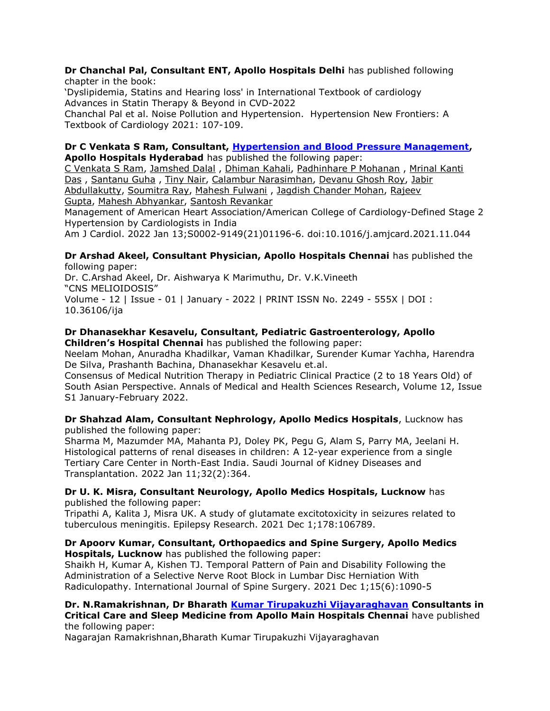### Dr Chanchal Pal, Consultant ENT, Apollo Hospitals Delhi has published following chapter in the book:

'Dyslipidemia, Statins and Hearing loss' in International Textbook of cardiology Advances in Statin Therapy & Beyond in CVD-2022

Chanchal Pal et al. Noise Pollution and Hypertension. Hypertension New Frontiers: A Textbook of Cardiology 2021: 107-109.

#### Dr C Venkata S Ram, Consultant, Hypertension and Blood Pressure Management, Apollo Hospitals Hyderabad has published the following paper:

C Venkata S Ram, Jamshed Dalal , Dhiman Kahali, Padhinhare P Mohanan , Mrinal Kanti Das , Santanu Guha , Tiny Nair, Calambur Narasimhan, Devanu Ghosh Roy, Jabir Abdullakutty, Soumitra Ray, Mahesh Fulwani , Jagdish Chander Mohan, Rajeev Gupta, Mahesh Abhyankar, Santosh Revankar

Management of American Heart Association/American College of Cardiology-Defined Stage 2 Hypertension by Cardiologists in India

Am J Cardiol. 2022 Jan 13;S0002-9149(21)01196-6. doi:10.1016/j.amjcard.2021.11.044

#### Dr Arshad Akeel, Consultant Physician, Apollo Hospitals Chennai has published the following paper:

Dr. C.Arshad Akeel, Dr. Aishwarya K Marimuthu, Dr. V.K.Vineeth "CNS MELIOIDOSIS" Volume - 12 | Issue - 01 | January - 2022 | PRINT ISSN No. 2249 - 555X | DOI : 10.36106/ija

# Dr Dhanasekhar Kesavelu, Consultant, Pediatric Gastroenterology, Apollo

Children's Hospital Chennai has published the following paper:

Neelam Mohan, Anuradha Khadilkar, Vaman Khadilkar, Surender Kumar Yachha, Harendra De Silva, Prashanth Bachina, Dhanasekhar Kesavelu et.al.

Consensus of Medical Nutrition Therapy in Pediatric Clinical Practice (2 to 18 Years Old) of South Asian Perspective. Annals of Medical and Health Sciences Research, Volume 12, Issue S1 January-February 2022.

# Dr Shahzad Alam, Consultant Nephrology, Apollo Medics Hospitals, Lucknow has published the following paper:

Sharma M, Mazumder MA, Mahanta PJ, Doley PK, Pegu G, Alam S, Parry MA, Jeelani H. Histological patterns of renal diseases in children: A 12-year experience from a single Tertiary Care Center in North-East India. Saudi Journal of Kidney Diseases and Transplantation. 2022 Jan 11;32(2):364.

# Dr U. K. Misra, Consultant Neurology, Apollo Medics Hospitals, Lucknow has published the following paper:

Tripathi A, Kalita J, Misra UK. A study of glutamate excitotoxicity in seizures related to tuberculous meningitis. Epilepsy Research. 2021 Dec 1;178:106789.

# Dr Apoorv Kumar, Consultant, Orthopaedics and Spine Surgery, Apollo Medics Hospitals, Lucknow has published the following paper:

Shaikh H, Kumar A, Kishen TJ. Temporal Pattern of Pain and Disability Following the Administration of a Selective Nerve Root Block in Lumbar Disc Herniation With Radiculopathy. International Journal of Spine Surgery. 2021 Dec 1;15(6):1090-5

# Dr. N.Ramakrishnan, Dr Bharath Kumar Tirupakuzhi Vijayaraghavan Consultants in Critical Care and Sleep Medicine from Apollo Main Hospitals Chennai have published the following paper:

Nagarajan Ramakrishnan,Bharath Kumar Tirupakuzhi Vijayaraghavan